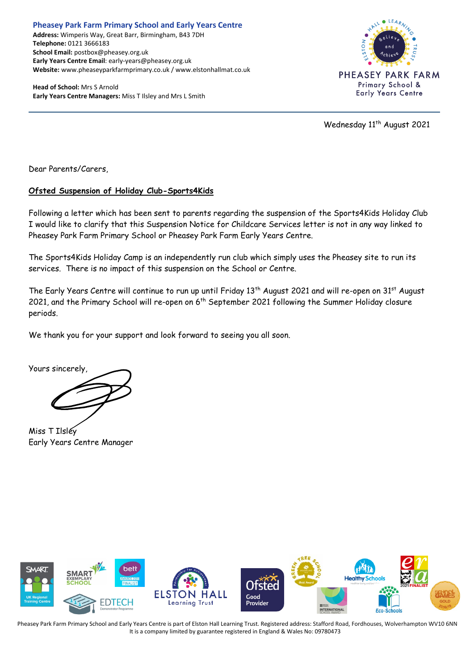**Pheasey Park Farm Primary School and Early Years Centre Address:** Wimperis Way, Great Barr, Birmingham, B43 7DH **Telephone:** 0121 3666183 **School Email:** postbox@pheasey.org.uk **Early Years Centre Email**: early-years@pheasey.org.uk **Website:** www.pheaseyparkfarmprimary.co.uk / www.elstonhallmat.co.uk

**Head of School:** Mrs S Arnold **Early Years Centre Managers:** Miss T Ilsley and Mrs L Smith



Wednesday 11<sup>th</sup> August 2021

Dear Parents/Carers,

## **Ofsted Suspension of Holiday Club-Sports4Kids**

Following a letter which has been sent to parents regarding the suspension of the Sports4Kids Holiday Club I would like to clarify that this Suspension Notice for Childcare Services letter is not in any way linked to Pheasey Park Farm Primary School or Pheasey Park Farm Early Years Centre.

The Sports4Kids Holiday Camp is an independently run club which simply uses the Pheasey site to run its services. There is no impact of this suspension on the School or Centre.

The Early Years Centre will continue to run up until Friday 13<sup>th</sup> August 2021 and will re-open on 31<sup>st</sup> August 2021, and the Primary School will re-open on 6<sup>th</sup> September 2021 following the Summer Holiday closure periods.

We thank you for your support and look forward to seeing you all soon.

Yours sincerely,

Miss T Ilsley Early Years Centre Manager



Pheasey Park Farm Primary School and Early Years Centre is part of Elston Hall Learning Trust. Registered address: Stafford Road, Fordhouses, Wolverhampton WV10 6NN It is a company limited by guarantee registered in England & Wales No: 09780473